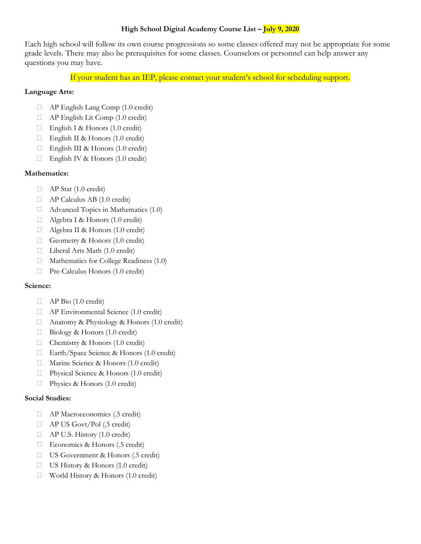# High School Digital Academy Course List - July 9, 2020

Each high school will follow its own course progressions so some classes offered may not be appropriate for some grade levels. There may also be prerequisites for some classes. Counselors or personnel can help answer any questions you may have.

If your student has an IEP, please contact your student's school for scheduling support.

## Language Arts:

- AP English Lang Comp (1.0 credit)
- $\Box$  AP English Lit Comp (1.0 credit)
- □ English I & Honors (1.0 credit)
- English II & Honors (1.0 credit)
- □ English III & Honors (1.0 credit)
- □ English IV & Honors (1.0 credit)

## Mathematics:

- AP Stat (1.0 credit)
- AP Calculus AB (1.0 credit)
- $\Box$  Advanced Topics in Mathematics (1.0)
- Algebra I & Honors (1.0 credit)
- Algebra II & Honors (1.0 credit)
- Geometry & Honors (1.0 credit)
- □ Liberal Arts Math (1.0 credit)
- $\Box$  Mathematics for College Readiness (1.0)
- Pre-Calculus Honors (1.0 credit)

#### Science:

- $\Box$  AP Bio (1.0 credit)
- AP Environmental Science (1.0 credit)
- □ Anatomy & Physiology & Honors (1.0 credit)
- □ Biology & Honors (1.0 credit)
- $\Box$  Chemistry & Honors (1.0 credit)
- □ Earth/Space Science & Honors (1.0 credit)
- □ Marine Science & Honors (1.0 credit)
- □ Physical Science & Honors (1.0 credit)
- $\Box$  Physics & Honors (1.0 credit)

#### Social Studies:

- AP Macroeconomics (.5 credit)
- AP US Govt/Pol (.5 credit)
- AP U.S. History (1.0 credit)
- □ Economics & Honors (.5 credit)
- □ US Government & Honors (.5 credit)
- $\Box$  US History & Honors (1.0 credit)
- □ World History & Honors (1.0 credit)